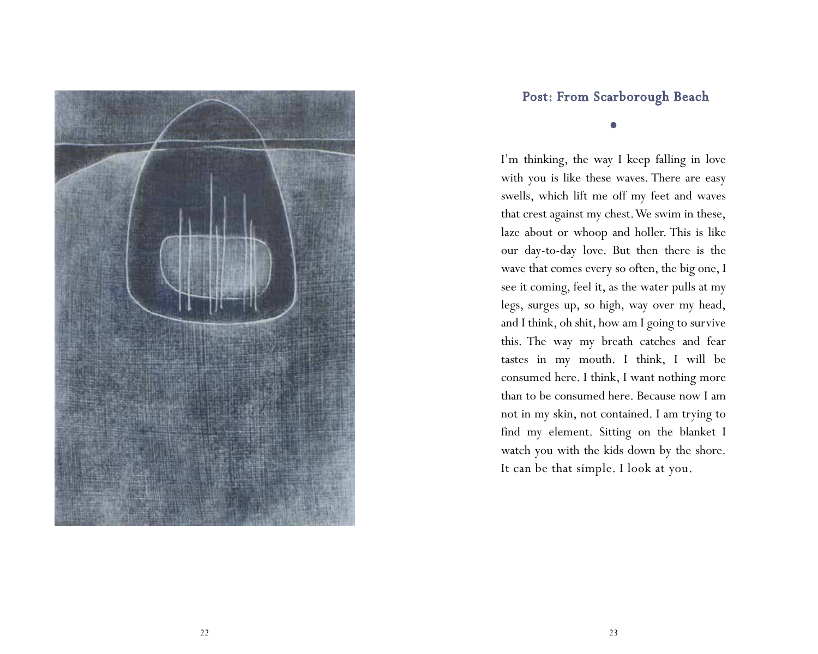

## Post: From Scarborough Beach

0

I'm thinking, the way I keep falling in love with you is like these waves. There are easy swells, which lift me off my feet and waves that crest against my chest. We swim in these, laze about or whoop and holler. This is like our day-to-day love. But then there is the wave that comes every so often, the big one, I see it coming, feel it, as the water pulls at my legs, surges up, so high, way over my head, and I think, oh shit, how am I going to survive this. The way my breath catches and fear tastes in my mouth. I think, I will be consumed here. I think, I want nothing more than to be consumed here. Because now I am not in my skin, not contained. I am trying to find my element. Sitting on the blanket I watch you with the kids down by the shore. It can be that simple. I look at you.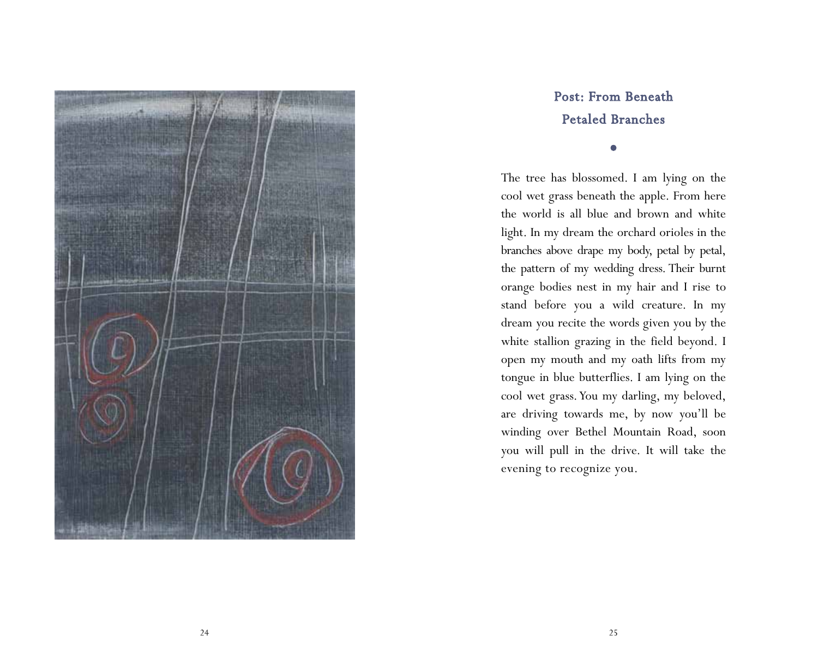

## Post: From Beneath Petaled Branches

 $\bullet$ 

The tree has blossomed. I am lying on the cool wet grass beneath the apple. From here the world is all blue and brown and white light. In my dream the orchard orioles in the branches above drape my body, petal by petal, the pattern of my wedding dress. Their burnt orange bodies nest in my hair and I rise to stand before you a wild creature. In my dream you recite the words given you by the white stallion grazing in the field beyond. I open my mouth and my oath lifts from my tongue in blue butterflies. I am lying on the cool wet grass. You my darling, my beloved, are driving towards me, by now you'll be winding over Bethel Mountain Road, soon you will pull in the drive. It will take the evening to recognize you.